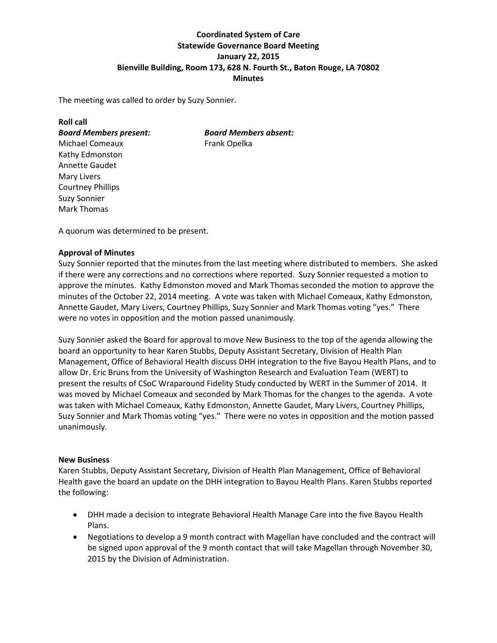# **Coordinated System of Care Statewide Governance Board Meeting January 22, 2015 Bienville Building, Room 173, 628 N. Fourth St., Baton Rouge, LA 70802 Minutes**

The meeting was called to order by Suzy Sonnier.

| <b>Roll call</b>              |                              |
|-------------------------------|------------------------------|
| <b>Board Members present:</b> | <b>Board Members absent:</b> |
| Michael Comeaux               | Frank Opelka                 |
| Kathy Edmonston               |                              |
| <b>Annette Gaudet</b>         |                              |
| <b>Mary Livers</b>            |                              |
| <b>Courtney Phillips</b>      |                              |
| <b>Suzy Sonnier</b>           |                              |
| <b>Mark Thomas</b>            |                              |
|                               |                              |

A quorum was determined to be present.

## **Approval of Minutes**

Suzy Sonnier reported that the minutes from the last meeting where distributed to members. She asked if there were any corrections and no corrections where reported. Suzy Sonnier requested a motion to approve the minutes. Kathy Edmonston moved and Mark Thomas seconded the motion to approve the minutes of the October 22, 2014 meeting. A vote was taken with Michael Comeaux, Kathy Edmonston, Annette Gaudet, Mary Livers, Courtney Phillips, Suzy Sonnier and Mark Thomas voting "yes." There were no votes in opposition and the motion passed unanimously.

Suzy Sonnier asked the Board for approval to move New Business to the top of the agenda allowing the board an opportunity to hear Karen Stubbs, Deputy Assistant Secretary, Division of Health Plan Management, Office of Behavioral Health discuss DHH integration to the five Bayou Health Plans, and to allow Dr. Eric Bruns from the University of Washington Research and Evaluation Team (WERT) to present the results of CSoC Wraparound Fidelity Study conducted by WERT in the Summer of 2014. It was moved by Michael Comeaux and seconded by Mark Thomas for the changes to the agenda. A vote was taken with Michael Comeaux, Kathy Edmonston, Annette Gaudet, Mary Livers, Courtney Phillips, Suzy Sonnier and Mark Thomas voting "yes." There were no votes in opposition and the motion passed unanimously.

## **New Business**

Karen Stubbs, Deputy Assistant Secretary, Division of Health Plan Management, Office of Behavioral Health gave the board an update on the DHH integration to Bayou Health Plans. Karen Stubbs reported the following:

- DHH made a decision to integrate Behavioral Health Manage Care into the five Bayou Health Plans.
- Negotiations to develop a 9 month contract with Magellan have concluded and the contract will be signed upon approval of the 9 month contact that will take Magellan through November 30, 2015 by the Division of Administration.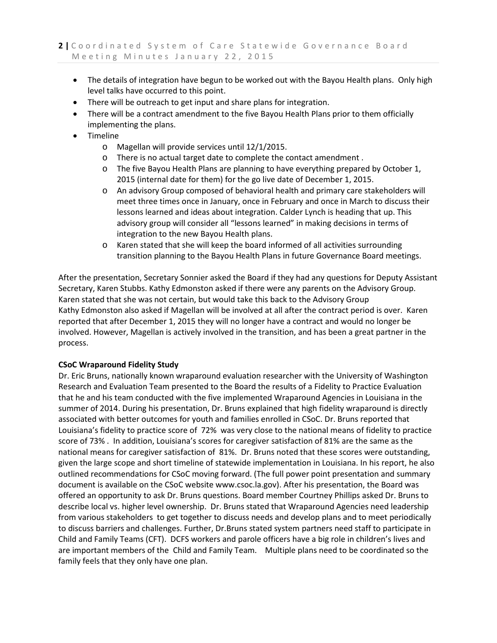- The details of integration have begun to be worked out with the Bayou Health plans. Only high level talks have occurred to this point.
- There will be outreach to get input and share plans for integration.
- There will be a contract amendment to the five Bayou Health Plans prior to them officially implementing the plans.
- Timeline
	- o Magellan will provide services until 12/1/2015.
	- o There is no actual target date to complete the contact amendment .
	- o The five Bayou Health Plans are planning to have everything prepared by October 1, 2015 (internal date for them) for the go live date of December 1, 2015.
	- o An advisory Group composed of behavioral health and primary care stakeholders will meet three times once in January, once in February and once in March to discuss their lessons learned and ideas about integration. Calder Lynch is heading that up. This advisory group will consider all "lessons learned" in making decisions in terms of integration to the new Bayou Health plans.
	- o Karen stated that she will keep the board informed of all activities surrounding transition planning to the Bayou Health Plans in future Governance Board meetings.

After the presentation, Secretary Sonnier asked the Board if they had any questions for Deputy Assistant Secretary, Karen Stubbs. Kathy Edmonston asked if there were any parents on the Advisory Group. Karen stated that she was not certain, but would take this back to the Advisory Group Kathy Edmonston also asked if Magellan will be involved at all after the contract period is over. Karen reported that after December 1, 2015 they will no longer have a contract and would no longer be involved. However, Magellan is actively involved in the transition, and has been a great partner in the process.

## **CSoC Wraparound Fidelity Study**

Dr. Eric Bruns, nationally known wraparound evaluation researcher with the University of Washington Research and Evaluation Team presented to the Board the results of a Fidelity to Practice Evaluation that he and his team conducted with the five implemented Wraparound Agencies in Louisiana in the summer of 2014. During his presentation, Dr. Bruns explained that high fidelity wraparound is directly associated with better outcomes for youth and families enrolled in CSoC. Dr. Bruns reported that Louisiana's fidelity to practice score of 72% was very close to the national means of fidelity to practice score of 73% . In addition, Louisiana's scores for caregiver satisfaction of 81% are the same as the national means for caregiver satisfaction of 81%. Dr. Bruns noted that these scores were outstanding, given the large scope and short timeline of statewide implementation in Louisiana. In his report, he also outlined recommendations for CSoC moving forward. (The full power point presentation and summary document is available on the CSoC website www.csoc.la.gov). After his presentation, the Board was offered an opportunity to ask Dr. Bruns questions. Board member Courtney Phillips asked Dr. Bruns to describe local vs. higher level ownership. Dr. Bruns stated that Wraparound Agencies need leadership from various stakeholders to get together to discuss needs and develop plans and to meet periodically to discuss barriers and challenges. Further, Dr.Bruns stated system partners need staff to participate in Child and Family Teams (CFT). DCFS workers and parole officers have a big role in children's lives and are important members of the Child and Family Team. Multiple plans need to be coordinated so the family feels that they only have one plan.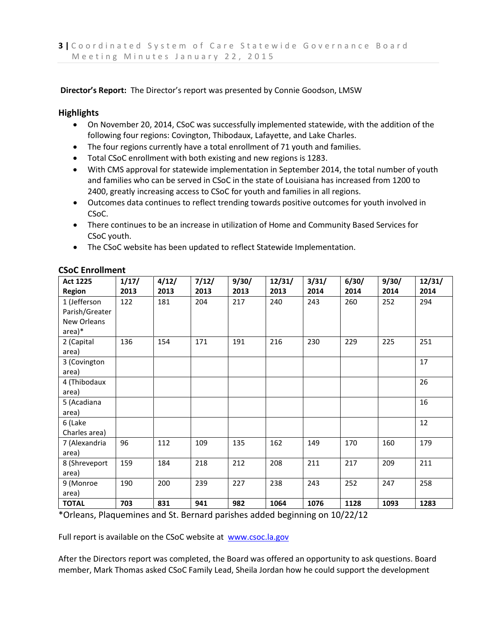**Director's Report:** The Director's report was presented by Connie Goodson, LMSW

## **Highlights**

- On November 20, 2014, CSoC was successfully implemented statewide, with the addition of the following four regions: Covington, Thibodaux, Lafayette, and Lake Charles.
- The four regions currently have a total enrollment of 71 youth and families.
- Total CSoC enrollment with both existing and new regions is 1283.
- With CMS approval for statewide implementation in September 2014, the total number of youth and families who can be served in CSoC in the state of Louisiana has increased from 1200 to 2400, greatly increasing access to CSoC for youth and families in all regions.
- Outcomes data continues to reflect trending towards positive outcomes for youth involved in CSoC.
- There continues to be an increase in utilization of Home and Community Based Services for CSoC youth.
- The CSoC website has been updated to reflect Statewide Implementation.

| Act 1225       | 1/17/ | 4/12/ | 7/12/ | 9/30/ | 12/31/ | 3/31/ | 6/30/ | 9/30/ | 12/31/ |
|----------------|-------|-------|-------|-------|--------|-------|-------|-------|--------|
| <b>Region</b>  | 2013  | 2013  | 2013  | 2013  | 2013   | 2014  | 2014  | 2014  | 2014   |
| 1 (Jefferson   | 122   | 181   | 204   | 217   | 240    | 243   | 260   | 252   | 294    |
| Parish/Greater |       |       |       |       |        |       |       |       |        |
| New Orleans    |       |       |       |       |        |       |       |       |        |
| area)*         |       |       |       |       |        |       |       |       |        |
| 2 (Capital     | 136   | 154   | 171   | 191   | 216    | 230   | 229   | 225   | 251    |
| area)          |       |       |       |       |        |       |       |       |        |
| 3 (Covington   |       |       |       |       |        |       |       |       | 17     |
| area)          |       |       |       |       |        |       |       |       |        |
| 4 (Thibodaux   |       |       |       |       |        |       |       |       | 26     |
| area)          |       |       |       |       |        |       |       |       |        |
| 5 (Acadiana    |       |       |       |       |        |       |       |       | 16     |
| area)          |       |       |       |       |        |       |       |       |        |
| 6 (Lake        |       |       |       |       |        |       |       |       | 12     |
| Charles area)  |       |       |       |       |        |       |       |       |        |
| 7 (Alexandria  | 96    | 112   | 109   | 135   | 162    | 149   | 170   | 160   | 179    |
| area)          |       |       |       |       |        |       |       |       |        |
| 8 (Shreveport  | 159   | 184   | 218   | 212   | 208    | 211   | 217   | 209   | 211    |
| area)          |       |       |       |       |        |       |       |       |        |
| 9 (Monroe      | 190   | 200   | 239   | 227   | 238    | 243   | 252   | 247   | 258    |
| area)          |       |       |       |       |        |       |       |       |        |
| <b>TOTAL</b>   | 703   | 831   | 941   | 982   | 1064   | 1076  | 1128  | 1093  | 1283   |

## **CSoC Enrollment**

\*Orleans, Plaquemines and St. Bernard parishes added beginning on 10/22/12

Full report is available on the CSoC website at [www.csoc.la.gov](http://www.csoc.la.gov/)

After the Directors report was completed, the Board was offered an opportunity to ask questions. Board member, Mark Thomas asked CSoC Family Lead, Sheila Jordan how he could support the development